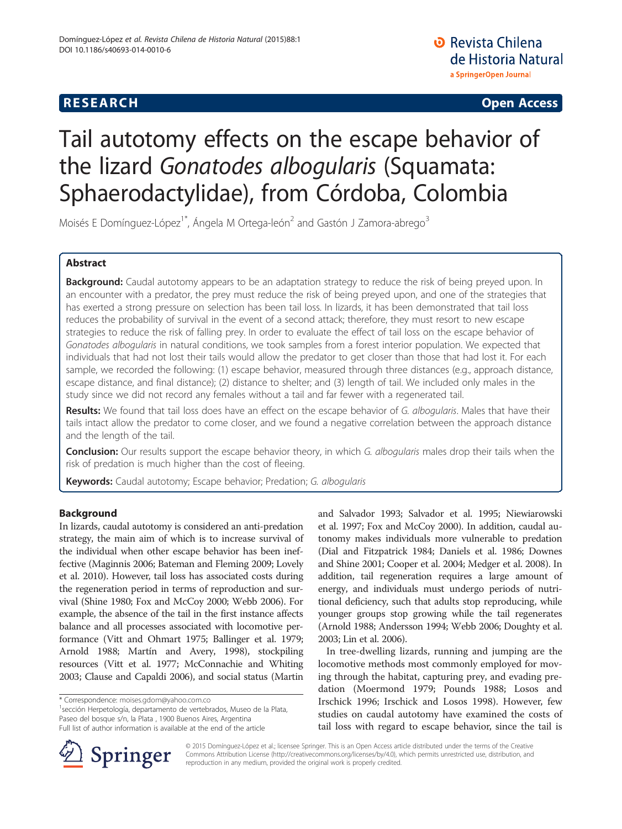# **RESEARCH CHE Open Access**

# Tail autotomy effects on the escape behavior of the lizard Gonatodes albogularis (Squamata: Sphaerodactylidae), from Córdoba, Colombia

Moisés E Domínguez-López<sup>1\*</sup>, Ángela M Ortega-león<sup>2</sup> and Gastón J Zamora-abrego<sup>3</sup>

# Abstract

Background: Caudal autotomy appears to be an adaptation strategy to reduce the risk of being preyed upon. In an encounter with a predator, the prey must reduce the risk of being preyed upon, and one of the strategies that has exerted a strong pressure on selection has been tail loss. In lizards, it has been demonstrated that tail loss reduces the probability of survival in the event of a second attack; therefore, they must resort to new escape strategies to reduce the risk of falling prey. In order to evaluate the effect of tail loss on the escape behavior of Gonatodes albogularis in natural conditions, we took samples from a forest interior population. We expected that individuals that had not lost their tails would allow the predator to get closer than those that had lost it. For each sample, we recorded the following: (1) escape behavior, measured through three distances (e.g., approach distance, escape distance, and final distance); (2) distance to shelter; and (3) length of tail. We included only males in the study since we did not record any females without a tail and far fewer with a regenerated tail.

Results: We found that tail loss does have an effect on the escape behavior of G. albogularis. Males that have their tails intact allow the predator to come closer, and we found a negative correlation between the approach distance and the length of the tail.

Conclusion: Our results support the escape behavior theory, in which G. albogularis males drop their tails when the risk of predation is much higher than the cost of fleeing.

Keywords: Caudal autotomy; Escape behavior; Predation; G. albogularis

# Background

In lizards, caudal autotomy is considered an anti-predation strategy, the main aim of which is to increase survival of the individual when other escape behavior has been ineffective (Maginnis [2006;](#page-5-0) Bateman and Fleming [2009](#page-4-0); Lovely et al. [2010\)](#page-5-0). However, tail loss has associated costs during the regeneration period in terms of reproduction and survival (Shine [1980](#page-5-0); Fox and McCoy [2000](#page-5-0); Webb [2006\)](#page-5-0). For example, the absence of the tail in the first instance affects balance and all processes associated with locomotive performance (Vitt and Ohmart [1975](#page-5-0); Ballinger et al. [1979](#page-4-0); Arnold [1988](#page-4-0); Martín and Avery, [1998\)](#page-5-0), stockpiling resources (Vitt et al. [1977](#page-5-0); McConnachie and Whiting [2003;](#page-5-0) Clause and Capaldi [2006\)](#page-5-0), and social status (Martin

<sup>1</sup> sección Herpetología, departamento de vertebrados, Museo de la Plata, Paseo del bosque s/n, la Plata , 1900 Buenos Aires, Argentina Full list of author information is available at the end of the article



In tree-dwelling lizards, running and jumping are the locomotive methods most commonly employed for moving through the habitat, capturing prey, and evading predation (Moermond [1979](#page-5-0); Pounds [1988;](#page-5-0) Losos and Irschick [1996](#page-5-0); Irschick and Losos [1998\)](#page-5-0). However, few studies on caudal autotomy have examined the costs of tail loss with regard to escape behavior, since the tail is



© 2015 Domínguez-López et al.; licensee Springer. This is an Open Access article distributed under the terms of the Creative Commons Attribution License (<http://creativecommons.org/licenses/by/4.0>), which permits unrestricted use, distribution, and reproduction in any medium, provided the original work is properly credited.

<sup>\*</sup> Correspondence: [moises.gdom@yahoo.com.co](mailto:moises.gdom@yahoo.com.co) <sup>1</sup>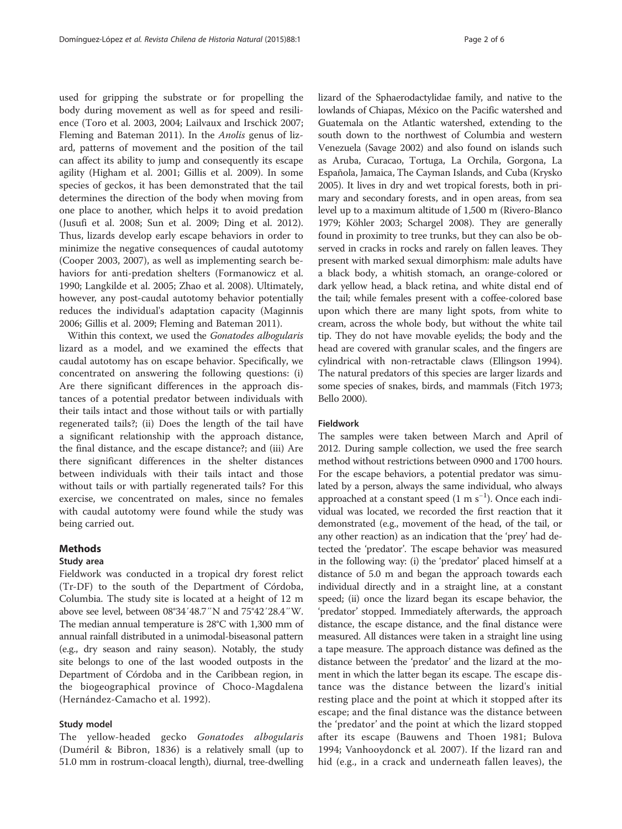used for gripping the substrate or for propelling the body during movement as well as for speed and resilience (Toro et al. [2003, 2004;](#page-5-0) Lailvaux and Irschick [2007](#page-5-0); Fleming and Bateman [2011](#page-4-0)). In the *Anolis* genus of lizard, patterns of movement and the position of the tail can affect its ability to jump and consequently its escape agility (Higham et al. [2001](#page-5-0); Gillis et al. [2009\)](#page-5-0). In some species of geckos, it has been demonstrated that the tail determines the direction of the body when moving from one place to another, which helps it to avoid predation (Jusufi et al. [2008](#page-5-0); Sun et al. [2009;](#page-5-0) Ding et al. [2012](#page-5-0)). Thus, lizards develop early escape behaviors in order to minimize the negative consequences of caudal autotomy (Cooper [2003, 2007\)](#page-5-0), as well as implementing search behaviors for anti-predation shelters (Formanowicz et al. [1990](#page-5-0); Langkilde et al. [2005](#page-5-0); Zhao et al. [2008\)](#page-5-0). Ultimately, however, any post-caudal autotomy behavior potentially reduces the individual's adaptation capacity (Maginnis [2006](#page-5-0); Gillis et al. [2009;](#page-5-0) Fleming and Bateman [2011](#page-4-0)).

Within this context, we used the Gonatodes albogularis lizard as a model, and we examined the effects that caudal autotomy has on escape behavior. Specifically, we concentrated on answering the following questions: (i) Are there significant differences in the approach distances of a potential predator between individuals with their tails intact and those without tails or with partially regenerated tails?; (ii) Does the length of the tail have a significant relationship with the approach distance, the final distance, and the escape distance?; and (iii) Are there significant differences in the shelter distances between individuals with their tails intact and those without tails or with partially regenerated tails? For this exercise, we concentrated on males, since no females with caudal autotomy were found while the study was being carried out.

#### Methods

### Study area

Fieldwork was conducted in a tropical dry forest relict (Tr-DF) to the south of the Department of Córdoba, Columbia. The study site is located at a height of 12 m above see level, between 08°34′48.7″N and 75°42′28.4″W. The median annual temperature is 28°C with 1,300 mm of annual rainfall distributed in a unimodal-biseasonal pattern (e.g., dry season and rainy season). Notably, the study site belongs to one of the last wooded outposts in the Department of Córdoba and in the Caribbean region, in the biogeographical province of Choco-Magdalena (Hernández-Camacho et al. [1992](#page-5-0)).

# Study model

The yellow-headed gecko Gonatodes albogularis (Duméril & Bibron, 1836) is a relatively small (up to 51.0 mm in rostrum-cloacal length), diurnal, tree-dwelling lizard of the Sphaerodactylidae family, and native to the lowlands of Chiapas, México on the Pacific watershed and Guatemala on the Atlantic watershed, extending to the south down to the northwest of Columbia and western Venezuela (Savage [2002\)](#page-5-0) and also found on islands such as Aruba, Curacao, Tortuga, La Orchila, Gorgona, La Española, Jamaica, The Cayman Islands, and Cuba (Krysko [2005](#page-5-0)). It lives in dry and wet tropical forests, both in primary and secondary forests, and in open areas, from sea level up to a maximum altitude of 1,500 m (Rivero-Blanco [1979](#page-5-0); Köhler [2003](#page-5-0); Schargel [2008](#page-5-0)). They are generally found in proximity to tree trunks, but they can also be observed in cracks in rocks and rarely on fallen leaves. They present with marked sexual dimorphism: male adults have a black body, a whitish stomach, an orange-colored or dark yellow head, a black retina, and white distal end of the tail; while females present with a coffee-colored base upon which there are many light spots, from white to cream, across the whole body, but without the white tail tip. They do not have movable eyelids; the body and the head are covered with granular scales, and the fingers are cylindrical with non-retractable claws (Ellingson [1994](#page-5-0)). The natural predators of this species are larger lizards and some species of snakes, birds, and mammals (Fitch [1973](#page-5-0); Bello [2000\)](#page-4-0).

## Fieldwork

The samples were taken between March and April of 2012. During sample collection, we used the free search method without restrictions between 0900 and 1700 hours. For the escape behaviors, a potential predator was simulated by a person, always the same individual, who always approached at a constant speed (1 m s−<sup>1</sup> ). Once each individual was located, we recorded the first reaction that it demonstrated (e.g., movement of the head, of the tail, or any other reaction) as an indication that the 'prey' had detected the 'predator'. The escape behavior was measured in the following way: (i) the 'predator' placed himself at a distance of 5.0 m and began the approach towards each individual directly and in a straight line, at a constant speed; (ii) once the lizard began its escape behavior, the 'predator' stopped. Immediately afterwards, the approach distance, the escape distance, and the final distance were measured. All distances were taken in a straight line using a tape measure. The approach distance was defined as the distance between the 'predator' and the lizard at the moment in which the latter began its escape. The escape distance was the distance between the lizard's initial resting place and the point at which it stopped after its escape; and the final distance was the distance between the 'predator' and the point at which the lizard stopped after its escape (Bauwens and Thoen [1981;](#page-4-0) Bulova [1994;](#page-5-0) Vanhooydonck et al. [2007](#page-5-0)). If the lizard ran and hid (e.g., in a crack and underneath fallen leaves), the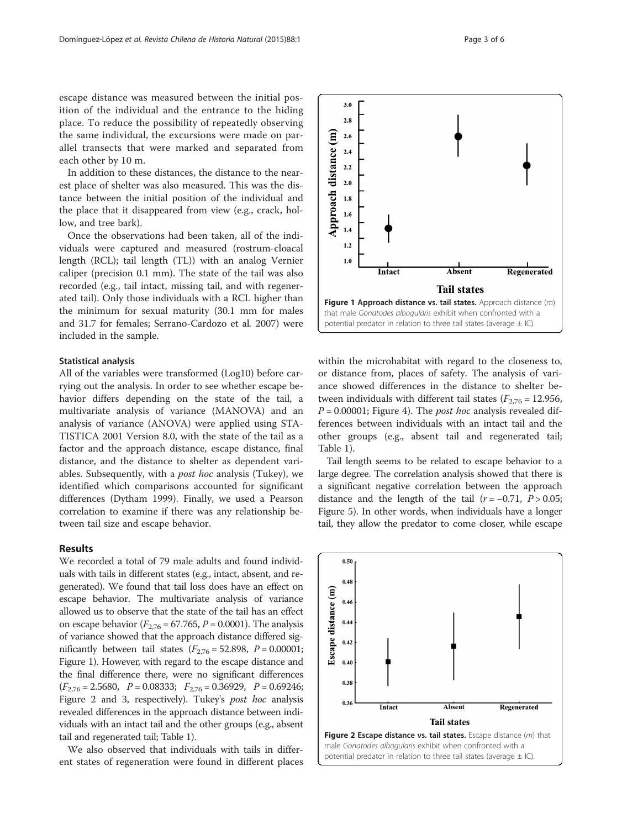In addition to these distances, the distance to the nearest place of shelter was also measured. This was the distance between the initial position of the individual and the place that it disappeared from view (e.g., crack, hollow, and tree bark).

Once the observations had been taken, all of the individuals were captured and measured (rostrum-cloacal length (RCL); tail length (TL)) with an analog Vernier caliper (precision 0.1 mm). The state of the tail was also recorded (e.g., tail intact, missing tail, and with regenerated tail). Only those individuals with a RCL higher than the minimum for sexual maturity (30.1 mm for males and 31.7 for females; Serrano-Cardozo et al. [2007](#page-5-0)) were included in the sample.

#### Statistical analysis

All of the variables were transformed (Log10) before carrying out the analysis. In order to see whether escape behavior differs depending on the state of the tail, a multivariate analysis of variance (MANOVA) and an analysis of variance (ANOVA) were applied using STA-TISTICA 2001 Version 8.0, with the state of the tail as a factor and the approach distance, escape distance, final distance, and the distance to shelter as dependent variables. Subsequently, with a post hoc analysis (Tukey), we identified which comparisons accounted for significant differences (Dytham [1999\)](#page-5-0). Finally, we used a Pearson correlation to examine if there was any relationship between tail size and escape behavior.

#### Results

We recorded a total of 79 male adults and found individuals with tails in different states (e.g., intact, absent, and regenerated). We found that tail loss does have an effect on escape behavior. The multivariate analysis of variance allowed us to observe that the state of the tail has an effect on escape behavior ( $F_{2,76}$  = 67.765, P = 0.0001). The analysis of variance showed that the approach distance differed significantly between tail states ( $F_{2,76} = 52.898$ ,  $P = 0.00001$ ; Figure 1). However, with regard to the escape distance and the final difference there, were no significant differences  $(F_{2,76} = 2.5680, P = 0.08333; F_{2,76} = 0.36929, P = 0.69246;$ Figure 2 and [3,](#page-3-0) respectively). Tukey's post hoc analysis revealed differences in the approach distance between individuals with an intact tail and the other groups (e.g., absent tail and regenerated tail; Table [1\)](#page-3-0).

We also observed that individuals with tails in different states of regeneration were found in different places within the microhabitat with regard to the closeness to, or distance from, places of safety. The analysis of variance showed differences in the distance to shelter between individuals with different tail states ( $F_{2,76}$  = 12.956,  $P = 0.00001$ ; Figure [4](#page-3-0)). The *post hoc* analysis revealed differences between individuals with an intact tail and the other groups (e.g., absent tail and regenerated tail; Table [1\)](#page-3-0).

Tail length seems to be related to escape behavior to a large degree. The correlation analysis showed that there is a significant negative correlation between the approach distance and the length of the tail  $(r = -0.71, P > 0.05;$ Figure [5](#page-3-0)). In other words, when individuals have a longer tail, they allow the predator to come closer, while escape

> $0.50$  $0.48$

 $0.46$ 



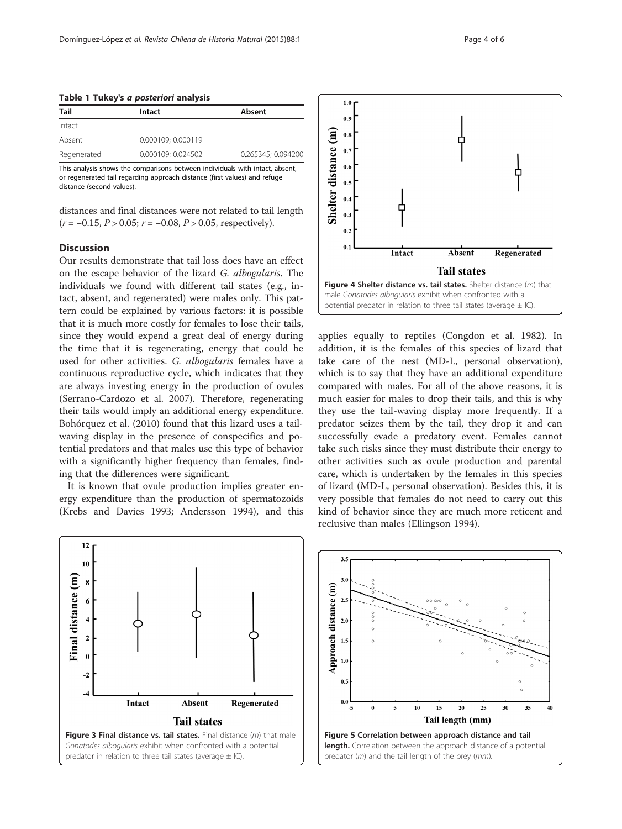#### <span id="page-3-0"></span>Table 1 Tukey's a posteriori analysis

| Tail        | Intact             | Absent             |
|-------------|--------------------|--------------------|
| Intact      |                    |                    |
| Absent      | 0.000109; 0.000119 |                    |
| Regenerated | 0.000109; 0.024502 | 0.265345; 0.094200 |

This analysis shows the comparisons between individuals with intact, absent, or regenerated tail regarding approach distance (first values) and refuge distance (second values).

distances and final distances were not related to tail length  $(r = -0.15, P > 0.05; r = -0.08, P > 0.05, respectively).$ 

# **Discussion**

Our results demonstrate that tail loss does have an effect on the escape behavior of the lizard G. albogularis. The individuals we found with different tail states (e.g., intact, absent, and regenerated) were males only. This pattern could be explained by various factors: it is possible that it is much more costly for females to lose their tails, since they would expend a great deal of energy during the time that it is regenerating, energy that could be used for other activities. G. albogularis females have a continuous reproductive cycle, which indicates that they are always investing energy in the production of ovules (Serrano-Cardozo et al. [2007](#page-5-0)). Therefore, regenerating their tails would imply an additional energy expenditure. Bohórquez et al. [\(2010\)](#page-5-0) found that this lizard uses a tailwaving display in the presence of conspecifics and potential predators and that males use this type of behavior with a significantly higher frequency than females, finding that the differences were significant.

It is known that ovule production implies greater energy expenditure than the production of spermatozoids (Krebs and Davies [1993](#page-5-0); Andersson [1994](#page-4-0)), and this



Shelter distance (m)  $0.8$  $0.7$  $0.6$  $0.5$  $0.4$  $0.3$  $0.2$  $0.1$ **Absent** Intact Regenerated **Tail states** Figure 4 Shelter distance vs. tail states. Shelter distance (m) that male Gonatodes albogularis exhibit when confronted with a potential predator in relation to three tail states (average  $\pm$  IC).

 $1.0r$  $0.9$ 

applies equally to reptiles (Congdon et al. [1982\)](#page-5-0). In addition, it is the females of this species of lizard that take care of the nest (MD-L, personal observation), which is to say that they have an additional expenditure compared with males. For all of the above reasons, it is much easier for males to drop their tails, and this is why they use the tail-waving display more frequently. If a predator seizes them by the tail, they drop it and can successfully evade a predatory event. Females cannot take such risks since they must distribute their energy to other activities such as ovule production and parental care, which is undertaken by the females in this species of lizard (MD-L, personal observation). Besides this, it is very possible that females do not need to carry out this kind of behavior since they are much more reticent and reclusive than males (Ellingson [1994](#page-5-0)).

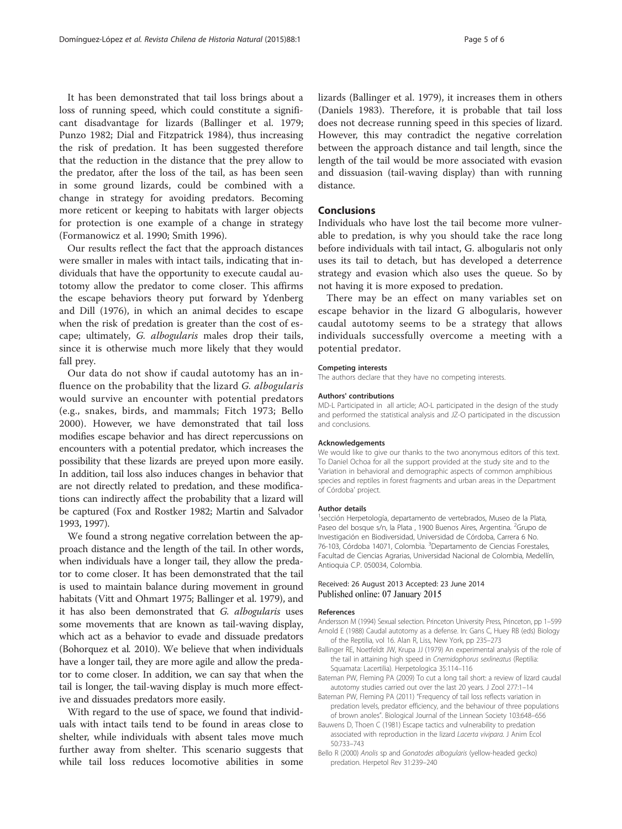<span id="page-4-0"></span>It has been demonstrated that tail loss brings about a loss of running speed, which could constitute a significant disadvantage for lizards (Ballinger et al. 1979; Punzo [1982;](#page-5-0) Dial and Fitzpatrick [1984](#page-5-0)), thus increasing the risk of predation. It has been suggested therefore that the reduction in the distance that the prey allow to the predator, after the loss of the tail, as has been seen in some ground lizards, could be combined with a change in strategy for avoiding predators. Becoming more reticent or keeping to habitats with larger objects for protection is one example of a change in strategy (Formanowicz et al. [1990](#page-5-0); Smith [1996\)](#page-5-0).

Our results reflect the fact that the approach distances were smaller in males with intact tails, indicating that individuals that have the opportunity to execute caudal autotomy allow the predator to come closer. This affirms the escape behaviors theory put forward by Ydenberg and Dill (1976), in which an animal decides to escape when the risk of predation is greater than the cost of escape; ultimately, G. albogularis males drop their tails, since it is otherwise much more likely that they would fall prey.

Our data do not show if caudal autotomy has an influence on the probability that the lizard G. albogularis would survive an encounter with potential predators (e.g., snakes, birds, and mammals; Fitch [1973;](#page-5-0) Bello 2000). However, we have demonstrated that tail loss modifies escape behavior and has direct repercussions on encounters with a potential predator, which increases the possibility that these lizards are preyed upon more easily. In addition, tail loss also induces changes in behavior that are not directly related to predation, and these modifications can indirectly affect the probability that a lizard will be captured (Fox and Rostker [1982](#page-5-0); Martin and Salvador [1993, 1997\)](#page-5-0).

We found a strong negative correlation between the approach distance and the length of the tail. In other words, when individuals have a longer tail, they allow the predator to come closer. It has been demonstrated that the tail is used to maintain balance during movement in ground habitats (Vitt and Ohmart [1975;](#page-5-0) Ballinger et al. 1979), and it has also been demonstrated that G. albogularis uses some movements that are known as tail-waving display, which act as a behavior to evade and dissuade predators (Bohorquez et al. 2010). We believe that when individuals have a longer tail, they are more agile and allow the predator to come closer. In addition, we can say that when the tail is longer, the tail-waving display is much more effective and dissuades predators more easily.

With regard to the use of space, we found that individuals with intact tails tend to be found in areas close to shelter, while individuals with absent tales move much further away from shelter. This scenario suggests that while tail loss reduces locomotive abilities in some lizards (Ballinger et al. 1979), it increases them in others (Daniels [1983\)](#page-5-0). Therefore, it is probable that tail loss does not decrease running speed in this species of lizard. However, this may contradict the negative correlation between the approach distance and tail length, since the length of the tail would be more associated with evasion and dissuasion (tail-waving display) than with running distance.

# Conclusions

Individuals who have lost the tail become more vulnerable to predation, is why you should take the race long before individuals with tail intact, G. albogularis not only uses its tail to detach, but has developed a deterrence strategy and evasion which also uses the queue. So by not having it is more exposed to predation.

There may be an effect on many variables set on escape behavior in the lizard G albogularis, however caudal autotomy seems to be a strategy that allows individuals successfully overcome a meeting with a potential predator.

#### Competing interests

The authors declare that they have no competing interests.

#### Authors' contributions

MD-L Participated in all article; AO-L participated in the design of the study and performed the statistical analysis and JZ-O participated in the discussion and conclusions.

#### Acknowledgements

We would like to give our thanks to the two anonymous editors of this text. To Daniel Ochoa for all the support provided at the study site and to the 'Variation in behavioral and demographic aspects of common amphibious species and reptiles in forest fragments and urban areas in the Department of Córdoba' project.

#### Author details

1 sección Herpetología, departamento de vertebrados, Museo de la Plata, Paseo del bosque s/n, la Plata, 1900 Buenos Aires, Argentina. <sup>2</sup>Grupo de Investigación en Biodiversidad, Universidad de Córdoba, Carrera 6 No. 76-103, Córdoba 14071, Colombia. <sup>3</sup>Departamento de Ciencias Forestales Facultad de Ciencias Agrarias, Universidad Nacional de Colombia, Medellín, Antioquia C.P. 050034, Colombia.

#### Received: 26 August 2013 Accepted: 23 June 2014 Published online: 07 January 2015

#### References

- Andersson M (1994) Sexual selection. Princeton University Press, Princeton, pp 1–599 Arnold E (1988) Caudal autotomy as a defense. In: Gans C, Huey RB (eds) Biology of the Reptilia, vol 16. Alan R, Liss, New York, pp 235–273
- Ballinger RE, Noetfeldt JW, Krupa JJ (1979) An experimental analysis of the role of the tail in attaining high speed in Cnemidophorus sexlineatus (Reptilia: Squamata: Lacertilia). Herpetologica 35:114–116
- Bateman PW, Fleming PA (2009) To cut a long tail short: a review of lizard caudal autotomy studies carried out over the last 20 years. J Zool 277:1–14

Bateman PW, Fleming PA (2011) "Frequency of tail loss reflects variation in predation levels, predator efficiency, and the behaviour of three populations of brown anoles". Biological Journal of the Linnean Society 103:648–656

- Bauwens D, Thoen C (1981) Escape tactics and vulnerability to predation associated with reproduction in the lizard Lacerta vivipara. J Anim Ecol 50:733–743
- Bello R (2000) Anolis sp and Gonatodes albogularis (yellow-headed gecko) predation. Herpetol Rev 31:239–240